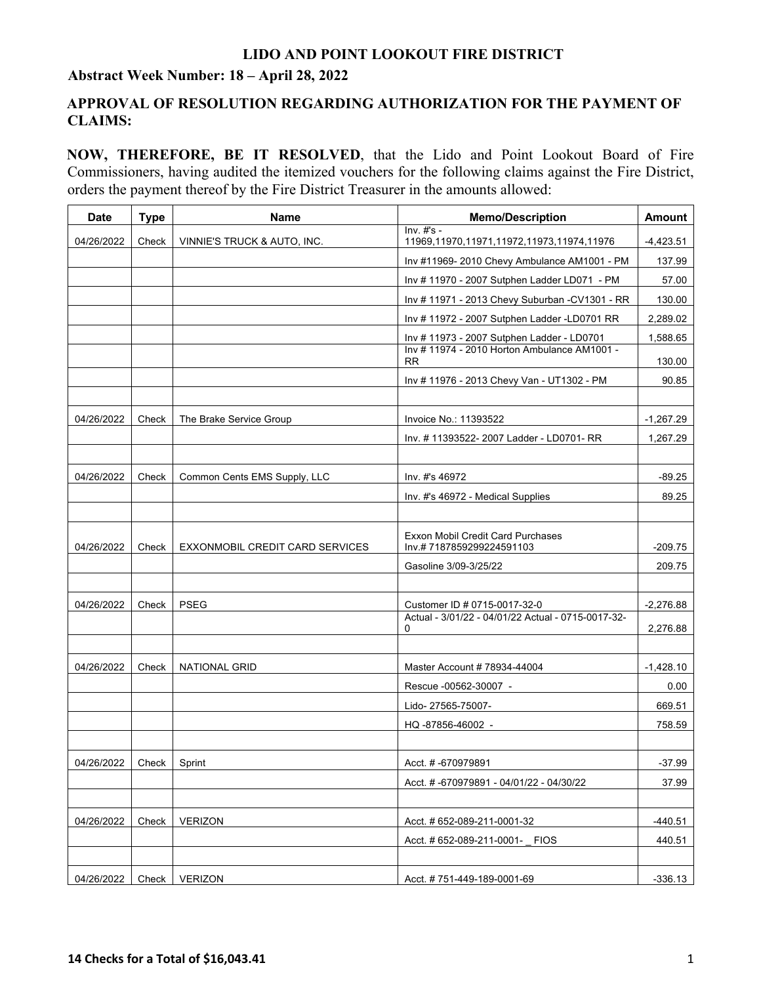### **LIDO AND POINT LOOKOUT FIRE DISTRICT**

### **Abstract Week Number: 18 – April 28, 2022**

## **APPROVAL OF RESOLUTION REGARDING AUTHORIZATION FOR THE PAYMENT OF CLAIMS:**

**NOW, THEREFORE, BE IT RESOLVED**, that the Lido and Point Lookout Board of Fire Commissioners, having audited the itemized vouchers for the following claims against the Fire District, orders the payment thereof by the Fire District Treasurer in the amounts allowed:

| <b>Date</b> | <b>Type</b> | <b>Name</b>                     | <b>Memo/Description</b>                                   | <b>Amount</b> |
|-------------|-------------|---------------------------------|-----------------------------------------------------------|---------------|
| 04/26/2022  | Check       | VINNIE'S TRUCK & AUTO, INC.     | $Inv. #s -$<br>11969,11970,11971,11972,11973,11974,11976  | $-4,423.51$   |
|             |             |                                 | Inv #11969-2010 Chevy Ambulance AM1001 - PM               | 137.99        |
|             |             |                                 | Inv # 11970 - 2007 Sutphen Ladder LD071 - PM              | 57.00         |
|             |             |                                 | Inv # 11971 - 2013 Chevy Suburban - CV1301 - RR           | 130.00        |
|             |             |                                 | Inv # 11972 - 2007 Sutphen Ladder - LD0701 RR             | 2,289.02      |
|             |             |                                 | Inv # 11973 - 2007 Sutphen Ladder - LD0701                | 1,588.65      |
|             |             |                                 | Inv # 11974 - 2010 Horton Ambulance AM1001 -<br><b>RR</b> | 130.00        |
|             |             |                                 | Inv # 11976 - 2013 Chevy Van - UT1302 - PM                | 90.85         |
|             |             |                                 |                                                           |               |
| 04/26/2022  | Check       | The Brake Service Group         | Invoice No.: 11393522                                     | $-1,267.29$   |
|             |             |                                 | Inv. # 11393522- 2007 Ladder - LD0701- RR                 | 1,267.29      |
|             |             |                                 |                                                           |               |
| 04/26/2022  | Check       | Common Cents EMS Supply, LLC    | Inv. #'s 46972                                            | $-89.25$      |
|             |             |                                 | Inv. #'s 46972 - Medical Supplies                         | 89.25         |
|             |             |                                 |                                                           |               |
|             |             |                                 | Exxon Mobil Credit Card Purchases                         |               |
| 04/26/2022  | Check       | EXXONMOBIL CREDIT CARD SERVICES | Inv.#7187859299224591103                                  | $-209.75$     |
|             |             |                                 | Gasoline 3/09-3/25/22                                     | 209.75        |
| 04/26/2022  |             | <b>PSEG</b>                     | Customer ID # 0715-0017-32-0                              | $-2,276.88$   |
|             | Check       |                                 | Actual - 3/01/22 - 04/01/22 Actual - 0715-0017-32-        |               |
|             |             |                                 | 0                                                         | 2,276.88      |
|             |             |                                 |                                                           |               |
| 04/26/2022  | Check       | <b>NATIONAL GRID</b>            | Master Account # 78934-44004                              | $-1,428.10$   |
|             |             |                                 | Rescue -00562-30007 -                                     | 0.00          |
|             |             |                                 | Lido-27565-75007-                                         | 669.51        |
|             |             |                                 | HQ-87856-46002 -                                          | 758.59        |
| 04/26/2022  | Check       | Sprint                          | Acct. # -670979891                                        | $-37.99$      |
|             |             |                                 | Acct. #-670979891 - 04/01/22 - 04/30/22                   | 37.99         |
|             |             |                                 |                                                           |               |
| 04/26/2022  | Check       | <b>VERIZON</b>                  | Acct. # 652-089-211-0001-32                               | $-440.51$     |
|             |             |                                 | Acct. # 652-089-211-0001- FIOS                            | 440.51        |
|             |             |                                 |                                                           |               |
| 04/26/2022  | Check       | <b>VERIZON</b>                  | Acct. #751-449-189-0001-69                                | $-336.13$     |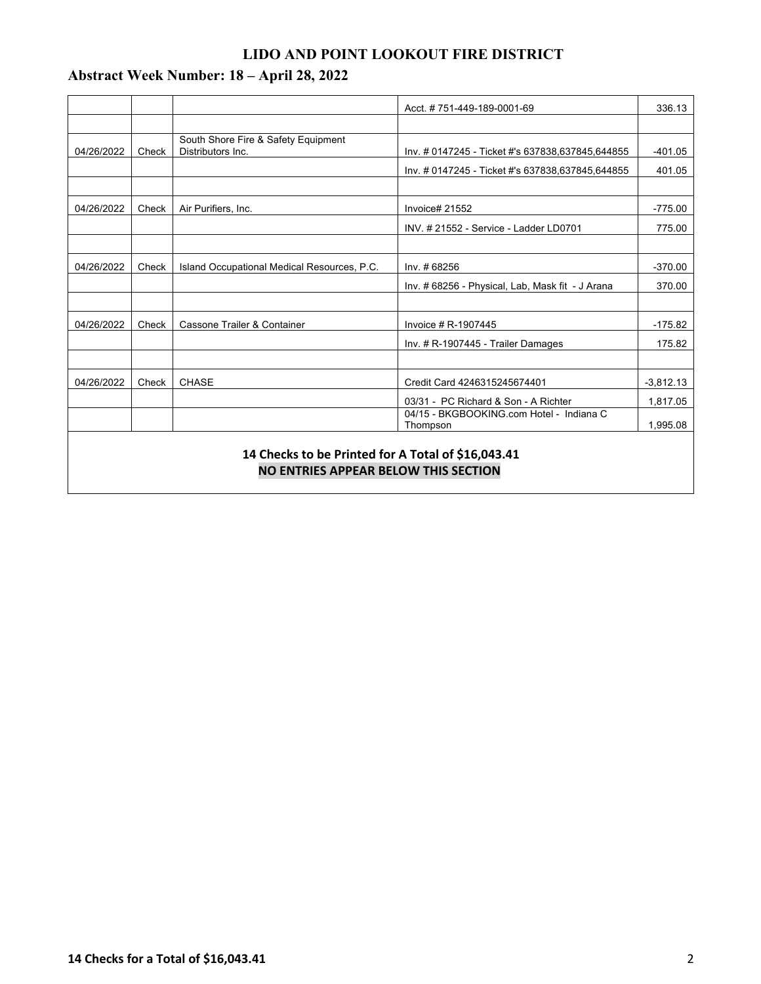# **LIDO AND POINT LOOKOUT FIRE DISTRICT**

# **Abstract Week Number: 18 – April 28, 2022**

|                                                                                            |       |                                                          | Acct. #751-449-189-0001-69                           | 336.13      |  |  |  |
|--------------------------------------------------------------------------------------------|-------|----------------------------------------------------------|------------------------------------------------------|-------------|--|--|--|
|                                                                                            |       |                                                          |                                                      |             |  |  |  |
| 04/26/2022                                                                                 | Check | South Shore Fire & Safety Equipment<br>Distributors Inc. | Inv. # 0147245 - Ticket #'s 637838,637845,644855     | $-401.05$   |  |  |  |
|                                                                                            |       |                                                          | Inv. # 0147245 - Ticket #'s 637838,637845,644855     | 401.05      |  |  |  |
|                                                                                            |       |                                                          |                                                      |             |  |  |  |
| 04/26/2022                                                                                 | Check | Air Purifiers, Inc.                                      | Invoice# 21552                                       | $-775.00$   |  |  |  |
|                                                                                            |       |                                                          | INV. # 21552 - Service - Ladder LD0701               | 775.00      |  |  |  |
|                                                                                            |       |                                                          |                                                      |             |  |  |  |
| 04/26/2022                                                                                 | Check | Island Occupational Medical Resources, P.C.              | Inv. #68256                                          | $-370.00$   |  |  |  |
|                                                                                            |       |                                                          | Inv. # 68256 - Physical, Lab, Mask fit - J Arana     | 370.00      |  |  |  |
|                                                                                            |       |                                                          |                                                      |             |  |  |  |
| 04/26/2022                                                                                 | Check | Cassone Trailer & Container                              | Invoice # R-1907445                                  | $-175.82$   |  |  |  |
|                                                                                            |       |                                                          | Inv. # R-1907445 - Trailer Damages                   | 175.82      |  |  |  |
|                                                                                            |       |                                                          |                                                      |             |  |  |  |
| 04/26/2022                                                                                 | Check | <b>CHASE</b>                                             | Credit Card 4246315245674401                         | $-3,812.13$ |  |  |  |
|                                                                                            |       |                                                          | 03/31 - PC Richard & Son - A Richter                 | 1,817.05    |  |  |  |
|                                                                                            |       |                                                          | 04/15 - BKGBOOKING.com Hotel - Indiana C<br>Thompson | 1.995.08    |  |  |  |
|                                                                                            |       |                                                          |                                                      |             |  |  |  |
| 14 Checks to be Printed for A Total of \$16,043.41<br>NO ENTRIES APPEAR BELOW THIS SECTION |       |                                                          |                                                      |             |  |  |  |
|                                                                                            |       |                                                          |                                                      |             |  |  |  |